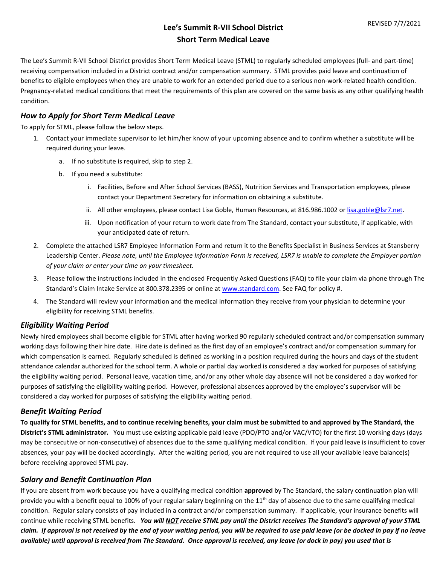# **Lee's Summit R-VII School District Short Term Medical Leave**

The Lee's Summit R-VII School District provides Short Term Medical Leave (STML) to regularly scheduled employees (full- and part-time) receiving compensation included in a District contract and/or compensation summary. STML provides paid leave and continuation of benefits to eligible employees when they are unable to work for an extended period due to a serious non-work-related health condition. Pregnancy-related medical conditions that meet the requirements of this plan are covered on the same basis as any other qualifying health condition.

#### *How to Apply for Short Term Medical Leave*

To apply for STML, please follow the below steps.

- 1. Contact your immediate supervisor to let him/her know of your upcoming absence and to confirm whether a substitute will be required during your leave.
	- a. If no substitute is required, skip to step 2.
	- b. If you need a substitute:
		- i. Facilities, Before and After School Services (BASS), Nutrition Services and Transportation employees, please contact your Department Secretary for information on obtaining a substitute.
		- ii. All other employees, please contact Lisa Goble, Human Resources, at 816.986.1002 or [lisa.goble@lsr7.net.](mailto:lisa.goble@lsr7.net)
		- iii. Upon notification of your return to work date from The Standard, contact your substitute, if applicable, with your anticipated date of return.
- 2. Complete the attached LSR7 Employee Information Form and return it to the Benefits Specialist in Business Services at Stansberry Leadership Center. *Please note, until the Employee Information Form is received, LSR7 is unable to complete the Employer portion of your claim or enter your time on your timesheet.*
- 3. Please follow the instructions included in the enclosed Frequently Asked Questions (FAQ) to file your claim via phone through The Standard's Claim Intake Service at 800.378.2395 or online at [www.standard.com.](https://www.standard.com/) See FAQ for policy #.
- 4. The Standard will review your information and the medical information they receive from your physician to determine your eligibility for receiving STML benefits.

#### *Eligibility Waiting Period*

Newly hired employees shall become eligible for STML after having worked 90 regularly scheduled contract and/or compensation summary working days following their hire date. Hire date is defined as the first day of an employee's contract and/or compensation summary for which compensation is earned. Regularly scheduled is defined as working in a position required during the hours and days of the student attendance calendar authorized for the school term. A whole or partial day worked is considered a day worked for purposes of satisfying the eligibility waiting period. Personal leave, vacation time, and/or any other whole day absence will not be considered a day worked for purposes of satisfying the eligibility waiting period. However, professional absences approved by the employee's supervisor will be considered a day worked for purposes of satisfying the eligibility waiting period.

#### *Benefit Waiting Period*

**To qualify for STML benefits, and to continue receiving benefits, your claim must be submitted to and approved by The Standard, the District's STML administrator.** You must use existing applicable paid leave (PDO/PTO and/or VAC/VTO) for the first 10 working days (days may be consecutive or non-consecutive) of absences due to the same qualifying medical condition. If your paid leave is insufficient to cover absences, your pay will be docked accordingly. After the waiting period, you are not required to use all your available leave balance(s) before receiving approved STML pay.

#### *Salary and Benefit Continuation Plan*

If you are absent from work because you have a qualifying medical condition **approved** by The Standard, the salary continuation plan will provide you with a benefit equal to 100% of your regular salary beginning on the  $11<sup>th</sup>$  day of absence due to the same qualifying medical condition. Regular salary consists of pay included in a contract and/or compensation summary. If applicable, your insurance benefits will continue while receiving STML benefits. *You will NOT receive STML pay until the District receives The Standard's approval of your STML claim. If approval is not received by the end of your waiting period, you will be required to use paid leave (or be docked in pay if no leave available) until approval is received from The Standard. Once approval is received, any leave (or dock in pay) you used that is*